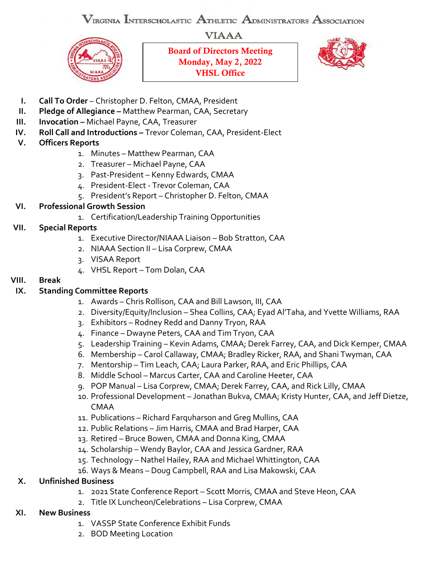VIRGINIA INTERSCHOLASTIC ATHLETIC ADMINISTRATORS ASSOCIATION

**VIAAA** 



Board of Directors Meeting Monday, May 2, 2022 VHSL Office



- **I. Call To Order** Christopher D. Felton, CMAA, President
- **II. Pledge of Allegiance –** Matthew Pearman, CAA, Secretary
- **III. Invocation -** Michael Payne, CAA, Treasurer
- **IV. Roll Call and Introductions –** Trevor Coleman, CAA, President-Elect
- **V. Officers Reports**
	- 1. Minutes Matthew Pearman, CAA
	- 2. Treasurer Michael Payne, CAA
	- 3. Past-President Kenny Edwards, CMAA
	- 4. President-Elect Trevor Coleman, CAA
	- 5. President's Report Christopher D. Felton, CMAA

## **VI. Professional Growth Session**

- 1. Certification/Leadership Training Opportunities
- **VII. Special Reports**
	- 1. Executive Director/NIAAA Liaison Bob Stratton, CAA
	- 2. NIAAA Section II Lisa Corprew, CMAA
	- 3. VISAA Report
	- 4. VHSL Report Tom Dolan, CAA

#### **VIII. Break**

## **IX. Standing Committee Reports**

- 1. Awards Chris Rollison, CAA and Bill Lawson, III, CAA
- 2. Diversity/Equity/Inclusion Shea Collins, CAA; Eyad Al'Taha, and Yvette Williams, RAA
- 3. Exhibitors Rodney Redd and Danny Tryon, RAA
- 4. Finance Dwayne Peters, CAA and Tim Tryon, CAA
- 5. Leadership Training Kevin Adams, CMAA; Derek Farrey, CAA, and Dick Kemper, CMAA
- 6. Membership Carol Callaway, CMAA; Bradley Ricker, RAA, and Shani Twyman, CAA
- 7. Mentorship Tim Leach, CAA; Laura Parker, RAA, and Eric Phillips, CAA
- 8. Middle School Marcus Carter, CAA and Caroline Heeter, CAA
- 9. POP Manual Lisa Corprew, CMAA; Derek Farrey, CAA, and Rick Lilly, CMAA
- 10. Professional Development Jonathan Bukva, CMAA; Kristy Hunter, CAA, and Jeff Dietze, CMAA
- 11. Publications Richard Farquharson and Greg Mullins, CAA
- 12. Public Relations Jim Harris, CMAA and Brad Harper, CAA
- 13. Retired Bruce Bowen, CMAA and Donna King, CMAA
- 14. Scholarship Wendy Baylor, CAA and Jessica Gardner, RAA
- 15. Technology Nathel Hailey, RAA and Michael Whittington, CAA
- 16. Ways & Means Doug Campbell, RAA and Lisa Makowski, CAA

# **X. Unfinished Business**

- 1. 2021 State Conference Report Scott Morris, CMAA and Steve Heon, CAA
- 2. Title IX Luncheon/Celebrations Lisa Corprew, CMAA

#### **XI. New Business**

- 1. VASSP State Conference Exhibit Funds
- 2. BOD Meeting Location